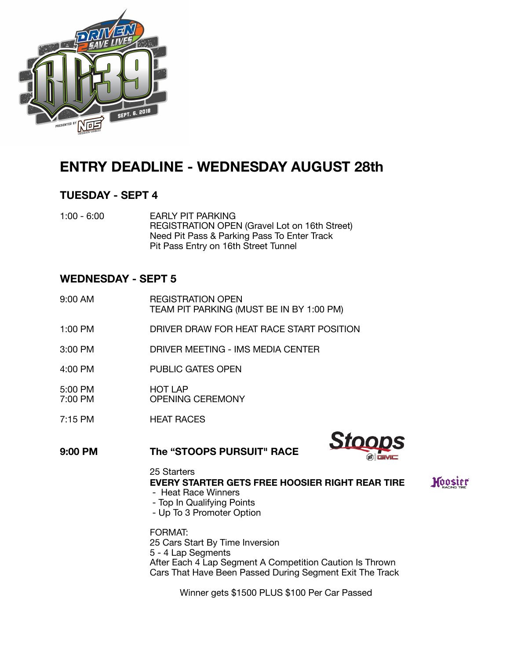

# **ENTRY DEADLINE - WEDNESDAY AUGUST 28th**

## **TUESDAY - SEPT 4**

1:00 - 6:00 EARLY PIT PARKING REGISTRATION OPEN (Gravel Lot on 16th Street) Need Pit Pass & Parking Pass To Enter Track Pit Pass Entry on 16th Street Tunnel

## **WEDNESDAY - SEPT 5**

- 9:00 AM **REGISTRATION OPEN**  TEAM PIT PARKING (MUST BE IN BY 1:00 PM)
- 1:00 PM DRIVER DRAW FOR HEAT RACE START POSITION
- 3:00 PM DRIVER MEETING IMS MEDIA CENTER
- 4:00 PM PUBLIC GATES OPEN
- 5:00 PM HOT LAP
- OPENING CEREMONY
- 7:15 PM **HEAT RACES**

**9:00 PM The "STOOPS PURSUIT" RACE**



Hoosier

 25 Starters **EVERY STARTER GETS FREE HOOSIER RIGHT REAR TIRE**  - Heat Race Winners

- Top In Qualifying Points
- Up To 3 Promoter Option

 FORMAT: 25 Cars Start By Time Inversion 5 - 4 Lap Segments After Each 4 Lap Segment A Competition Caution Is Thrown Cars That Have Been Passed During Segment Exit The Track

 Winner gets \$1500 PLUS \$100 Per Car Passed